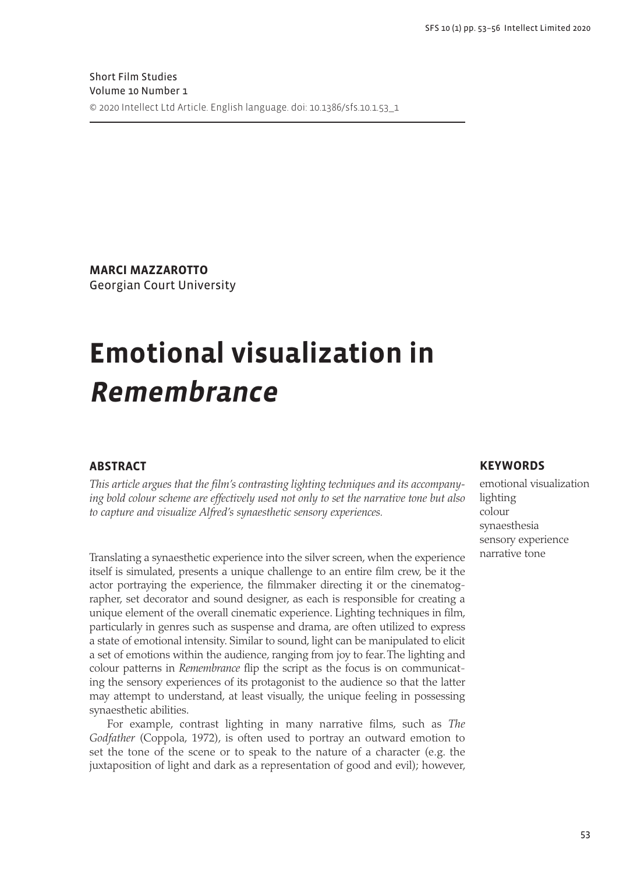**Marci Mazzarotto** Georgian Court University

# **Emotional visualization in Remembrance**

# **Abstract**

*This article argues that the film's contrasting lighting techniques and its accompanying bold colour scheme are effectively used not only to set the narrative tone but also to capture and visualize Alfred's synaesthetic sensory experiences.* 

Translating a synaesthetic experience into the silver screen, when the experience itself is simulated, presents a unique challenge to an entire film crew, be it the actor portraying the experience, the filmmaker directing it or the cinematographer, set decorator and sound designer, as each is responsible for creating a unique element of the overall cinematic experience. Lighting techniques in film, particularly in genres such as suspense and drama, are often utilized to express a state of emotional intensity. Similar to sound, light can be manipulated to elicit a set of emotions within the audience, ranging from joy to fear. The lighting and colour patterns in *Remembrance* flip the script as the focus is on communicating the sensory experiences of its protagonist to the audience so that the latter may attempt to understand, at least visually, the unique feeling in possessing synaesthetic abilities.

For example, contrast lighting in many narrative films, such as *The Godfather* (Coppola, 1972), is often used to portray an outward emotion to set the tone of the scene or to speak to the nature of a character (e.g. the juxtaposition of light and dark as a representation of good and evil); however,

## **Keywords**

emotional visualization lighting colour synaesthesia sensory experience narrative tone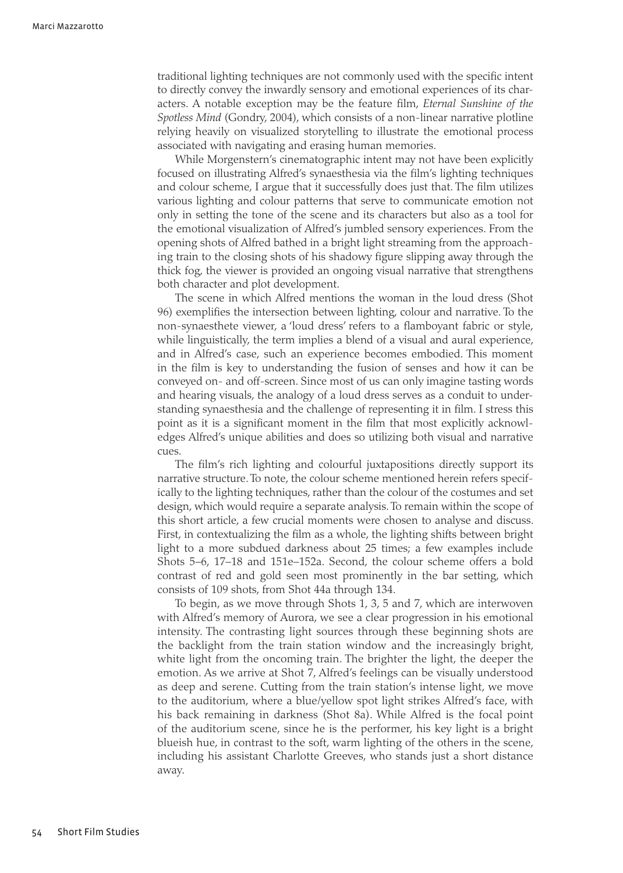traditional lighting techniques are not commonly used with the specific intent to directly convey the inwardly sensory and emotional experiences of its characters. A notable exception may be the feature film, *Eternal Sunshine of the Spotless Mind* (Gondry, 2004), which consists of a non-linear narrative plotline relying heavily on visualized storytelling to illustrate the emotional process associated with navigating and erasing human memories.

⊕

While Morgenstern's cinematographic intent may not have been explicitly focused on illustrating Alfred's synaesthesia via the film's lighting techniques and colour scheme, I argue that it successfully does just that. The film utilizes various lighting and colour patterns that serve to communicate emotion not only in setting the tone of the scene and its characters but also as a tool for the emotional visualization of Alfred's jumbled sensory experiences. From the opening shots of Alfred bathed in a bright light streaming from the approaching train to the closing shots of his shadowy figure slipping away through the thick fog, the viewer is provided an ongoing visual narrative that strengthens both character and plot development.

The scene in which Alfred mentions the woman in the loud dress (Shot 96) exemplifies the intersection between lighting, colour and narrative. To the non-synaesthete viewer, a 'loud dress' refers to a flamboyant fabric or style, while linguistically, the term implies a blend of a visual and aural experience, and in Alfred's case, such an experience becomes embodied. This moment in the film is key to understanding the fusion of senses and how it can be conveyed on- and off-screen. Since most of us can only imagine tasting words and hearing visuals, the analogy of a loud dress serves as a conduit to understanding synaesthesia and the challenge of representing it in film. I stress this point as it is a significant moment in the film that most explicitly acknowledges Alfred's unique abilities and does so utilizing both visual and narrative cues.

The film's rich lighting and colourful juxtapositions directly support its narrative structure. To note, the colour scheme mentioned herein refers specifically to the lighting techniques, rather than the colour of the costumes and set design, which would require a separate analysis. To remain within the scope of this short article, a few crucial moments were chosen to analyse and discuss. First, in contextualizing the film as a whole, the lighting shifts between bright light to a more subdued darkness about 25 times; a few examples include Shots 5–6, 17–18 and 151e–152a. Second, the colour scheme offers a bold contrast of red and gold seen most prominently in the bar setting, which consists of 109 shots, from Shot 44a through 134.

To begin, as we move through Shots 1, 3, 5 and 7, which are interwoven with Alfred's memory of Aurora, we see a clear progression in his emotional intensity. The contrasting light sources through these beginning shots are the backlight from the train station window and the increasingly bright, white light from the oncoming train. The brighter the light, the deeper the emotion. As we arrive at Shot 7, Alfred's feelings can be visually understood as deep and serene. Cutting from the train station's intense light, we move to the auditorium, where a blue/yellow spot light strikes Alfred's face, with his back remaining in darkness (Shot 8a). While Alfred is the focal point of the auditorium scene, since he is the performer, his key light is a bright blueish hue, in contrast to the soft, warm lighting of the others in the scene, including his assistant Charlotte Greeves, who stands just a short distance away.

 $\langle \spadesuit \rangle$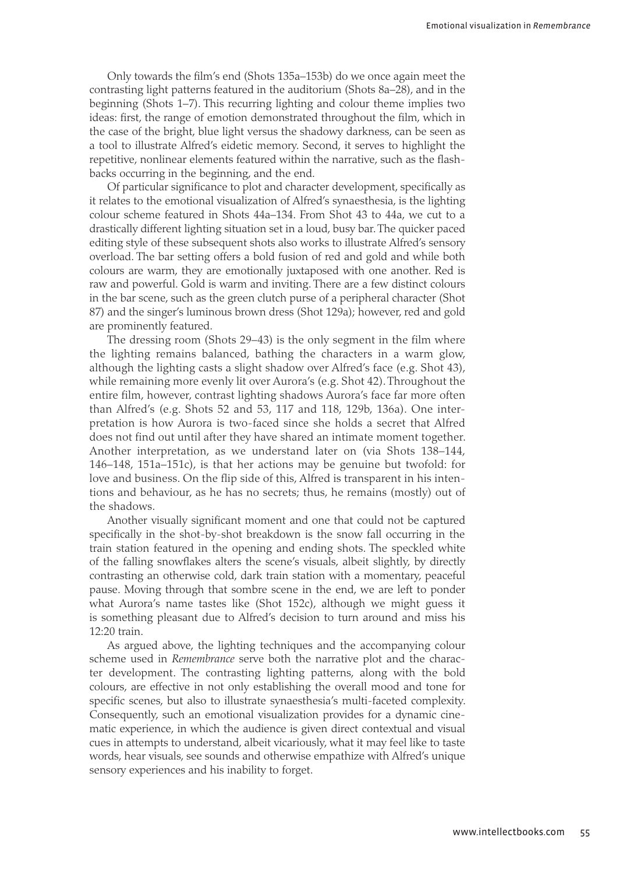Only towards the film's end (Shots 135a–153b) do we once again meet the contrasting light patterns featured in the auditorium (Shots 8a–28), and in the beginning (Shots 1–7). This recurring lighting and colour theme implies two ideas: first, the range of emotion demonstrated throughout the film, which in the case of the bright, blue light versus the shadowy darkness, can be seen as a tool to illustrate Alfred's eidetic memory. Second, it serves to highlight the repetitive, nonlinear elements featured within the narrative, such as the flashbacks occurring in the beginning, and the end.

⊕

Of particular significance to plot and character development, specifically as it relates to the emotional visualization of Alfred's synaesthesia, is the lighting colour scheme featured in Shots 44a–134. From Shot 43 to 44a, we cut to a drastically different lighting situation set in a loud, busy bar. The quicker paced editing style of these subsequent shots also works to illustrate Alfred's sensory overload. The bar setting offers a bold fusion of red and gold and while both colours are warm, they are emotionally juxtaposed with one another. Red is raw and powerful. Gold is warm and inviting. There are a few distinct colours in the bar scene, such as the green clutch purse of a peripheral character (Shot 87) and the singer's luminous brown dress (Shot 129a); however, red and gold are prominently featured.

The dressing room (Shots 29–43) is the only segment in the film where the lighting remains balanced, bathing the characters in a warm glow, although the lighting casts a slight shadow over Alfred's face (e.g. Shot 43), while remaining more evenly lit over Aurora's (e.g. Shot 42). Throughout the entire film, however, contrast lighting shadows Aurora's face far more often than Alfred's (e.g. Shots 52 and 53, 117 and 118, 129b, 136a). One interpretation is how Aurora is two-faced since she holds a secret that Alfred does not find out until after they have shared an intimate moment together. Another interpretation, as we understand later on (via Shots 138–144, 146–148, 151a–151c), is that her actions may be genuine but twofold: for love and business. On the flip side of this, Alfred is transparent in his intentions and behaviour, as he has no secrets; thus, he remains (mostly) out of the shadows.

Another visually significant moment and one that could not be captured specifically in the shot-by-shot breakdown is the snow fall occurring in the train station featured in the opening and ending shots. The speckled white of the falling snowflakes alters the scene's visuals, albeit slightly, by directly contrasting an otherwise cold, dark train station with a momentary, peaceful pause. Moving through that sombre scene in the end, we are left to ponder what Aurora's name tastes like (Shot 152c), although we might guess it is something pleasant due to Alfred's decision to turn around and miss his 12:20 train.

As argued above, the lighting techniques and the accompanying colour scheme used in *Remembrance* serve both the narrative plot and the character development. The contrasting lighting patterns, along with the bold colours, are effective in not only establishing the overall mood and tone for specific scenes, but also to illustrate synaesthesia's multi-faceted complexity. Consequently, such an emotional visualization provides for a dynamic cinematic experience, in which the audience is given direct contextual and visual cues in attempts to understand, albeit vicariously, what it may feel like to taste words, hear visuals, see sounds and otherwise empathize with Alfred's unique sensory experiences and his inability to forget.

 $\langle \spadesuit \rangle$